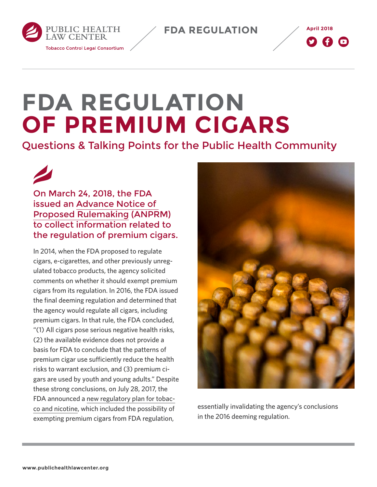**FDA REGULATION**





## **FDA REGULATION OF PREMIUM CIGARS**

Questions & Talking Points for the Public Health Community

On March 24, 2018, the FDA issued an [Advance Notice of](https://www.federalregister.gov/documents/2018/03/26/2018-06047/regulation-of-premium-cigars)  [Proposed Rulemaking](https://www.federalregister.gov/documents/2018/03/26/2018-06047/regulation-of-premium-cigars) (ANPRM) to collect information related to the regulation of premium cigars.

In 2014, when the FDA proposed to regulate cigars, e-cigarettes, and other previously unregulated tobacco products, the agency solicited comments on whether it should exempt premium cigars from its regulation. In 2016, the FDA issued the final deeming regulation and determined that the agency would regulate all cigars, including premium cigars. In that rule, the FDA concluded, "(1) All cigars pose serious negative health risks, (2) the available evidence does not provide a basis for FDA to conclude that the patterns of premium cigar use sufficiently reduce the health risks to warrant exclusion, and (3) premium cigars are used by youth and young adults." Despite these strong conclusions, on July 28, 2017, the FDA announced a [new regulatory plan for tobac](http://www.publichealthlawcenter.org/topics/tobacco-control/fda-tobacco-action-center/fda%E2%80%99s-new-regulatory-plan)[co and nicotine](http://www.publichealthlawcenter.org/topics/tobacco-control/fda-tobacco-action-center/fda%E2%80%99s-new-regulatory-plan), which included the possibility of exempting premium cigars from FDA regulation,



essentially invalidating the agency's conclusions in the 2016 deeming regulation.